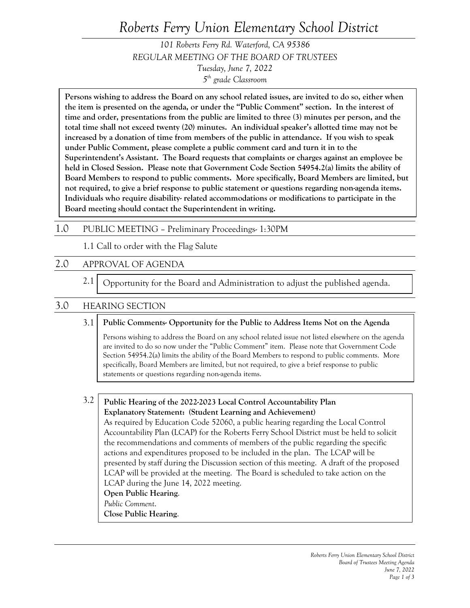# *Roberts Ferry Union Elementary School District*

*101 Roberts Ferry Rd. Waterford, CA 95386 REGULAR MEETING OF THE BOARD OF TRUSTEES Tuesday, June 7, 2022 5th grade Classroom*

**Persons wishing to address the Board on any school related issues, are invited to do so, either when the item is presented on the agenda, or under the "Public Comment" section. In the interest of time and order, presentations from the public are limited to three (3) minutes per person, and the total time shall not exceed twenty (20) minutes. An individual speaker's allotted time may not be increased by a donation of time from members of the public in attendance. If you wish to speak under Public Comment, please complete a public comment card and turn it in to the Superintendent's Assistant. The Board requests that complaints or charges against an employee be held in Closed Session. Please note that Government Code Section 54954.2(a) limits the ability of Board Members to respond to public comments. More specifically, Board Members are limited, but not required, to give a brief response to public statement or questions regarding non-agenda items. Individuals who require disability- related accommodations or modifications to participate in the Board meeting should contact the Superintendent in writing.**

#### 1.0 PUBLIC MEETING – Preliminary Proceedings- 1:30PM

1.1 Call to order with the Flag Salute

# 2.0 APPROVAL OF AGENDA

 2.1 Opportunity for the Board and Administration to adjust the published agenda.

### 3.0 HEARING SECTION

#### 3.1 **Public Comments- Opportunity for the Public to Address Items Not on the Agenda**

Persons wishing to address the Board on any school related issue not listed elsewhere on the agenda are invited to do so now under the "Public Comment" item. Please note that Government Code Section 54954.2(a) limits the ability of the Board Members to respond to public comments. More specifically, Board Members are limited, but not required, to give a brief response to public statements or questions regarding non-agenda items.

3.2 **Public Hearing of the 2022-2023 Local Control Accountability Plan Explanatory Statement: (Student Learning and Achievement)** As required by Education Code 52060, a public hearing regarding the Local Control Accountability Plan (LCAP) for the Roberts Ferry School District must be held to solicit the recommendations and comments of members of the public regarding the specific actions and expenditures proposed to be included in the plan. The LCAP will be presented by staff during the Discussion section of this meeting. A draft of the proposed LCAP will be provided at the meeting. The Board is scheduled to take action on the LCAP during the June 14, 2022 meeting. **Open Public Hearing**. *Public Comment*. **Close Public Hearing**.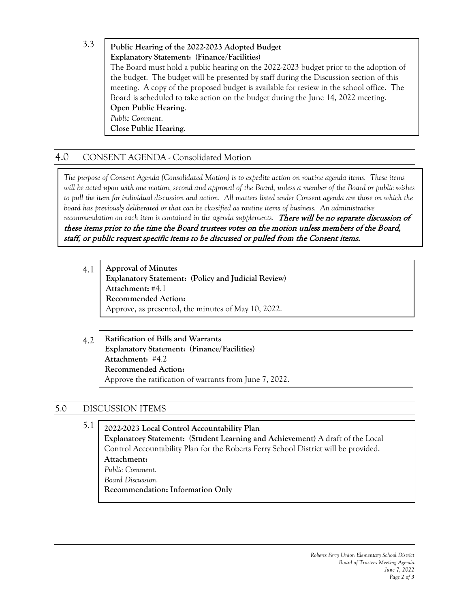3.3 **Public Hearing of the 2022-2023 Adopted Budget Explanatory Statement: (Finance/Facilities)** The Board must hold a public hearing on the 2022-2023 budget prior to the adoption of the budget. The budget will be presented by staff during the Discussion section of this meeting. A copy of the proposed budget is available for review in the school office. The Board is scheduled to take action on the budget during the June 14, 2022 meeting. **Open Public Hearing**. *Public Comment*. **Close Public Hearing**.

# 4.0 CONSENT AGENDA - Consolidated Motion

*The purpose of Consent Agenda (Consolidated Motion) is to expedite action on routine agenda items. These items will be acted upon with one motion, second and approval of the Board, unless a member of the Board or public wishes*  to pull the item for individual discussion and action. All matters listed under Consent agenda are those on which the *board has previously deliberated or that can be classified as routine items of business. An administrative*  recommendation on each item is contained in the agenda supplements. There will be no separate discussion of these items prior to the time the Board trustees votes on the motion unless members of the Board, staff, or public request specific items to be discussed or pulled from the Consent items.

4.1 **Approval of Minutes Explanatory Statement: (Policy and Judicial Review) Attachment:** #4.1 **Recommended Action:** Approve, as presented, the minutes of May 10, 2022.

#### 4.2 **Ratification of Bills and Warrants Explanatory Statement: (Finance/Facilities) Attachment:** #4.2 **Recommended Action:** Approve the ratification of warrants from June 7, 2022.

# 5.0 DISCUSSION ITEMS

 5.1 **2022-2023 Local Control Accountability Plan Explanatory Statement: (Student Learning and Achievement)** A draft of the Local Control Accountability Plan for the Roberts Ferry School District will be provided. **Attachment:**  *Public Comment. Board Discussion.* **Recommendation: Information Only**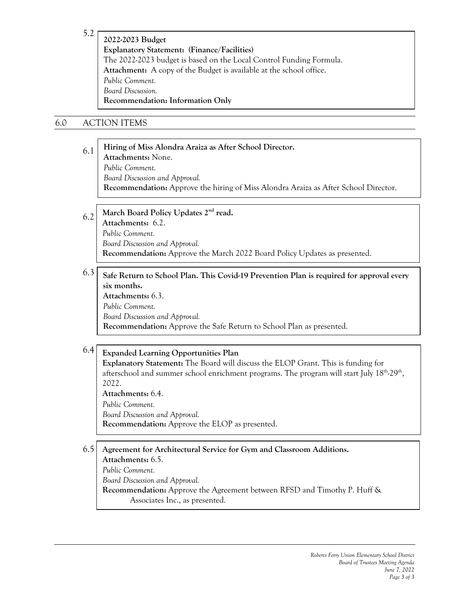5.2

**2022-2023 Budget Explanatory Statement: (Finance/Facilities)** The 2022-2023 budget is based on the Local Control Funding Formula. **Attachment:** A copy of the Budget is available at the school office. *Public Comment. Board Discussion.* **Recommendation: Information Only** 

# 6.0 ACTION ITEMS

#### 6.1 **Hiring of Miss Alondra Araiza as After School Director. Attachments:** None. *Public Comment. Board Discussion and Approval.* **Recommendation:** Approve the hiring of Miss Alondra Araiza as After School Director.

#### 6.2 **March Board Policy Updates 2nd read. Attachments:** 6.2. *Public Comment. Board Discussion and Approval.* **Recommendation:** Approve the March 2022 Board Policy Updates as presented.

#### 6.3 **Safe Return to School Plan. This Covid-19 Prevention Plan is required for approval every six months.**

**Attachments:** 6.3. *Public Comment. Board Discussion and Approval.* **Recommendation:** Approve the Safe Return to School Plan as presented.

#### 6.4 **Expanded Learning Opportunities Plan**

**Explanatory Statement:** The Board will discuss the ELOP Grant. This is funding for afterschool and summer school enrichment programs. The program will start July  $18<sup>th</sup>·29<sup>th</sup>$ , 2022.

**Attachments:** 6.4.

*Public Comment.*

*Board Discussion and Approval.*

**Recommendation:** Approve the ELOP as presented.

#### 6.5 **Agreement for Architectural Service for Gym and Classroom Additions.**

**Attachments:** 6.5.

*Public Comment.*

*Board Discussion and Approval.*

**Recommendation:** Approve the Agreement between RFSD and Timothy P. Huff & Associates Inc., as presented.